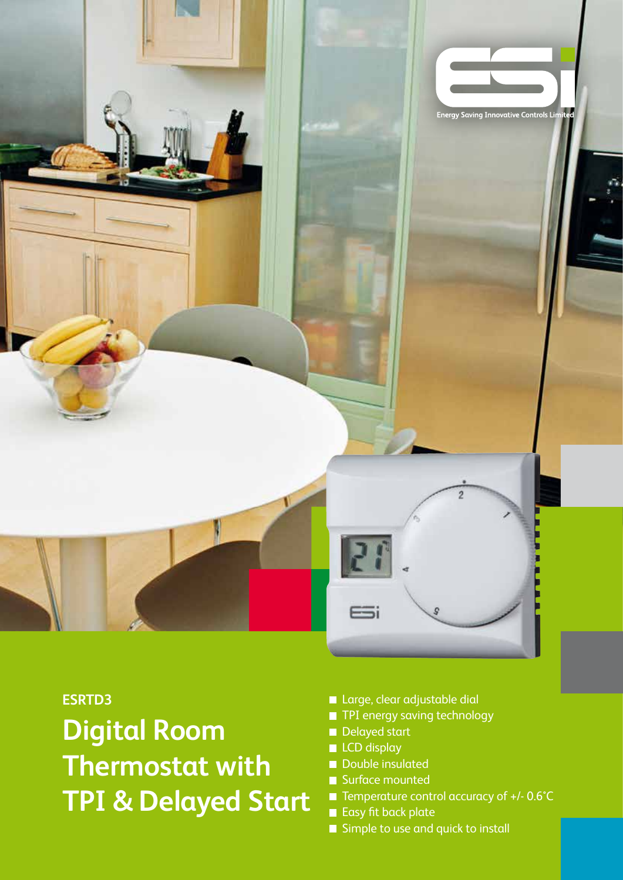

## **ESRTD3**

**Digital Room Thermostat with TPI & Delayed Start**

- **Large, clear adjustable dial**
- **TPI energy saving technology**
- Delayed start
- **LCD** display
- Double insulated
- Surface mounted
- Temperature control accuracy of +/- 0.6°C
- Easy fit back plate
- Simple to use and quick to install